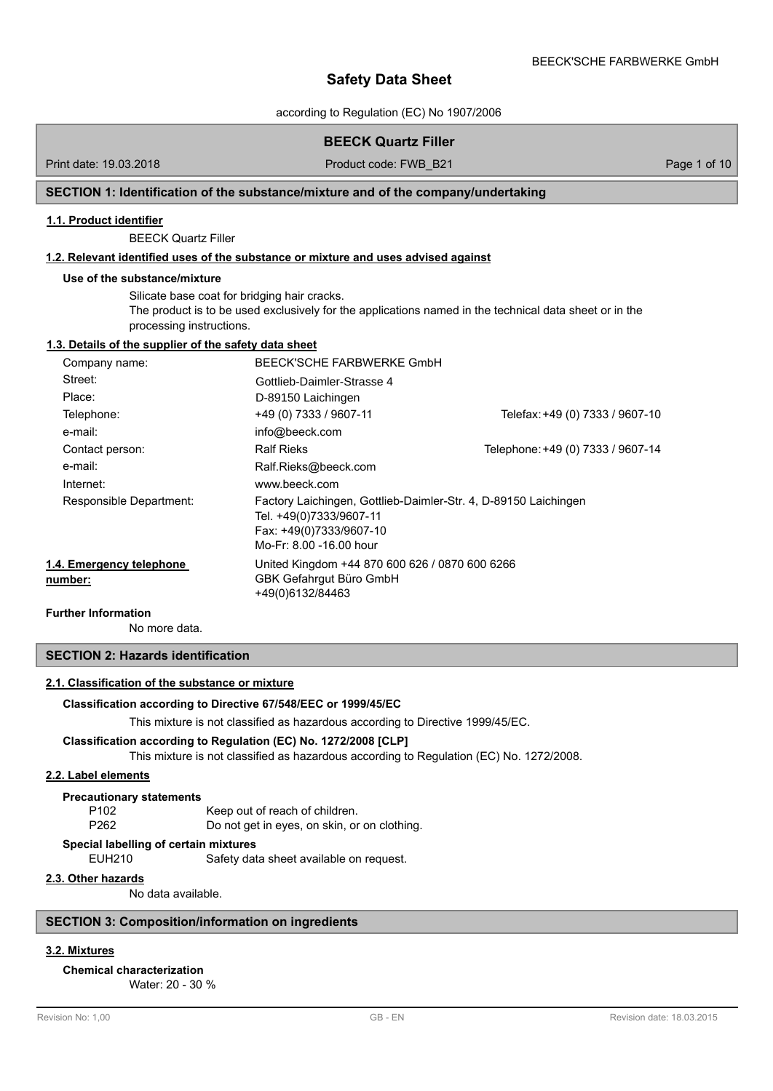according to Regulation (EC) No 1907/2006

# **BEECK Quartz Filler**

Print date: 19.03.2018 **Product code: FWB\_B21** Page 1 of 10

# **SECTION 1: Identification of the substance/mixture and of the company/undertaking**

#### **1.1. Product identifier**

BEECK Quartz Filler

# **1.2. Relevant identified uses of the substance or mixture and uses advised against**

#### **Use of the substance/mixture**

Silicate base coat for bridging hair cracks. The product is to be used exclusively for the applications named in the technical data sheet or in the processing instructions.

#### **1.3. Details of the supplier of the safety data sheet**

| Company name:                       | BEECK'SCHE FARBWERKE GmbH                                                                                                                        |                                   |
|-------------------------------------|--------------------------------------------------------------------------------------------------------------------------------------------------|-----------------------------------|
| Street:                             | Gottlieb-Daimler-Strasse 4                                                                                                                       |                                   |
| Place:                              | D-89150 Laichingen                                                                                                                               |                                   |
| Telephone:                          | +49 (0) 7333 / 9607-11                                                                                                                           | Telefax: +49 (0) 7333 / 9607-10   |
| e-mail:                             | info@beeck.com                                                                                                                                   |                                   |
| Contact person:                     | <b>Ralf Rieks</b>                                                                                                                                | Telephone: +49 (0) 7333 / 9607-14 |
| e-mail:                             | Ralf.Rieks@beeck.com                                                                                                                             |                                   |
| Internet:                           | www.beeck.com                                                                                                                                    |                                   |
| Responsible Department:             | Factory Laichingen, Gottlieb-Daimler-Str. 4, D-89150 Laichingen<br>Tel. +49(0)7333/9607-11<br>Fax: +49(0)7333/9607-10<br>Mo-Fr: 8.00 -16.00 hour |                                   |
| 1.4. Emergency telephone<br>number: | United Kingdom +44 870 600 626 / 0870 600 6266<br>GBK Gefahrgut Büro GmbH<br>+49(0)6132/84463                                                    |                                   |

### **Further Information**

No more data.

# **SECTION 2: Hazards identification**

#### **2.1. Classification of the substance or mixture**

#### **Classification according to Directive 67/548/EEC or 1999/45/EC**

This mixture is not classified as hazardous according to Directive 1999/45/EC.

#### **Classification according to Regulation (EC) No. 1272/2008 [CLP]**

This mixture is not classified as hazardous according to Regulation (EC) No. 1272/2008.

#### **2.2. Label elements**

#### **Precautionary statements**

P102 Keep out of reach of children. P262 Do not get in eyes, on skin, or on clothing.

# **Special labelling of certain mixtures**

EUH210 Safety data sheet available on request.

#### **2.3. Other hazards**

No data available.

### **SECTION 3: Composition/information on ingredients**

# **3.2. Mixtures**

**Chemical characterization**

Water: 20 - 30 %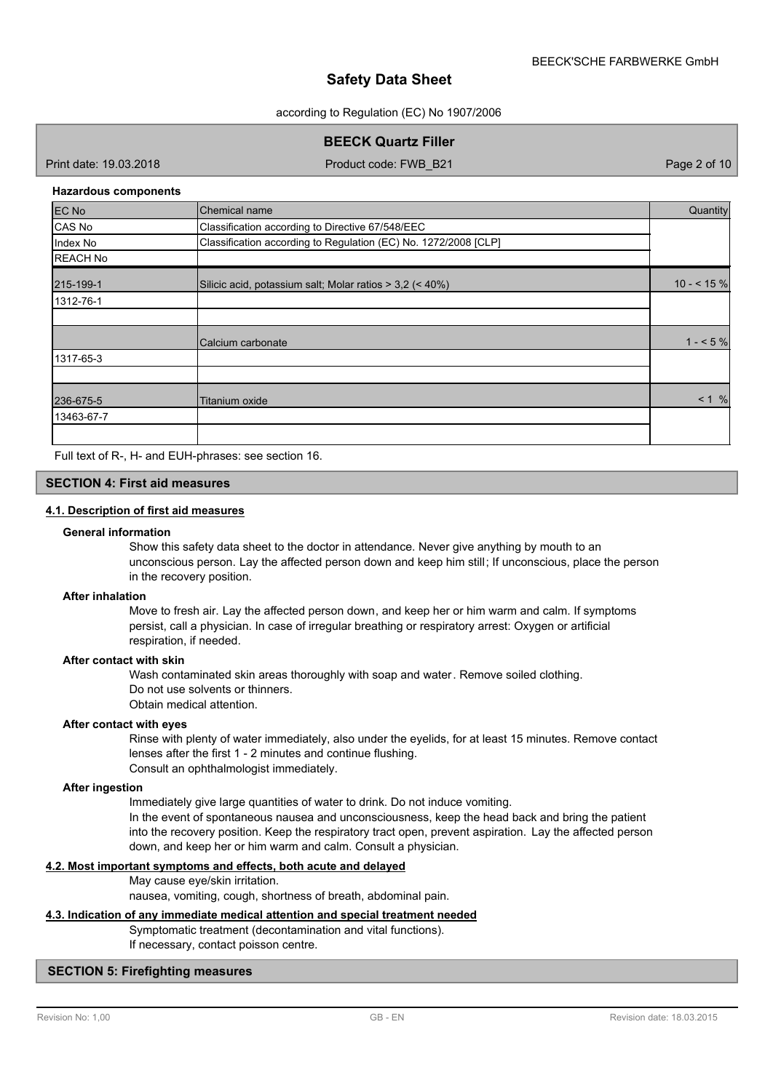according to Regulation (EC) No 1907/2006

**BEECK Quartz Filler**

Print date: 19.03.2018 Product code: FWB\_B21 Page 2 of 10

#### **Hazardous components**

| EC No           | Chemical name                                                   | Quantity    |
|-----------------|-----------------------------------------------------------------|-------------|
| CAS No          | Classification according to Directive 67/548/EEC                |             |
| Index No        | Classification according to Regulation (EC) No. 1272/2008 [CLP] |             |
| <b>REACH No</b> |                                                                 |             |
| 215-199-1       | Silicic acid, potassium salt; Molar ratios $>$ 3,2 (< 40%)      | $10 - 5 \%$ |
| 1312-76-1       |                                                                 |             |
|                 |                                                                 |             |
|                 | Calcium carbonate                                               | $1 - 5\%$   |
| 1317-65-3       |                                                                 |             |
|                 |                                                                 |             |
| 236-675-5       | Titanium oxide                                                  | < 1 %       |
| 13463-67-7      |                                                                 |             |
|                 |                                                                 |             |

Full text of R-, H- and EUH-phrases: see section 16.

# **SECTION 4: First aid measures**

# **4.1. Description of first aid measures**

#### **General information**

Show this safety data sheet to the doctor in attendance. Never give anything by mouth to an unconscious person. Lay the affected person down and keep him still; If unconscious, place the person in the recovery position.

#### **After inhalation**

Move to fresh air. Lay the affected person down, and keep her or him warm and calm. If symptoms persist, call a physician. In case of irregular breathing or respiratory arrest: Oxygen or artificial respiration, if needed.

# **After contact with skin**

Wash contaminated skin areas thoroughly with soap and water. Remove soiled clothing. Do not use solvents or thinners.

Obtain medical attention.

#### **After contact with eyes**

Rinse with plenty of water immediately, also under the eyelids, for at least 15 minutes. Remove contact lenses after the first 1 - 2 minutes and continue flushing. Consult an ophthalmologist immediately.

#### **After ingestion**

Immediately give large quantities of water to drink. Do not induce vomiting.

In the event of spontaneous nausea and unconsciousness, keep the head back and bring the patient into the recovery position. Keep the respiratory tract open, prevent aspiration. Lay the affected person down, and keep her or him warm and calm. Consult a physician.

### **4.2. Most important symptoms and effects, both acute and delayed**

May cause eye/skin irritation.

nausea, vomiting, cough, shortness of breath, abdominal pain.

#### **4.3. Indication of any immediate medical attention and special treatment needed**

Symptomatic treatment (decontamination and vital functions). If necessary, contact poisson centre.

# **SECTION 5: Firefighting measures**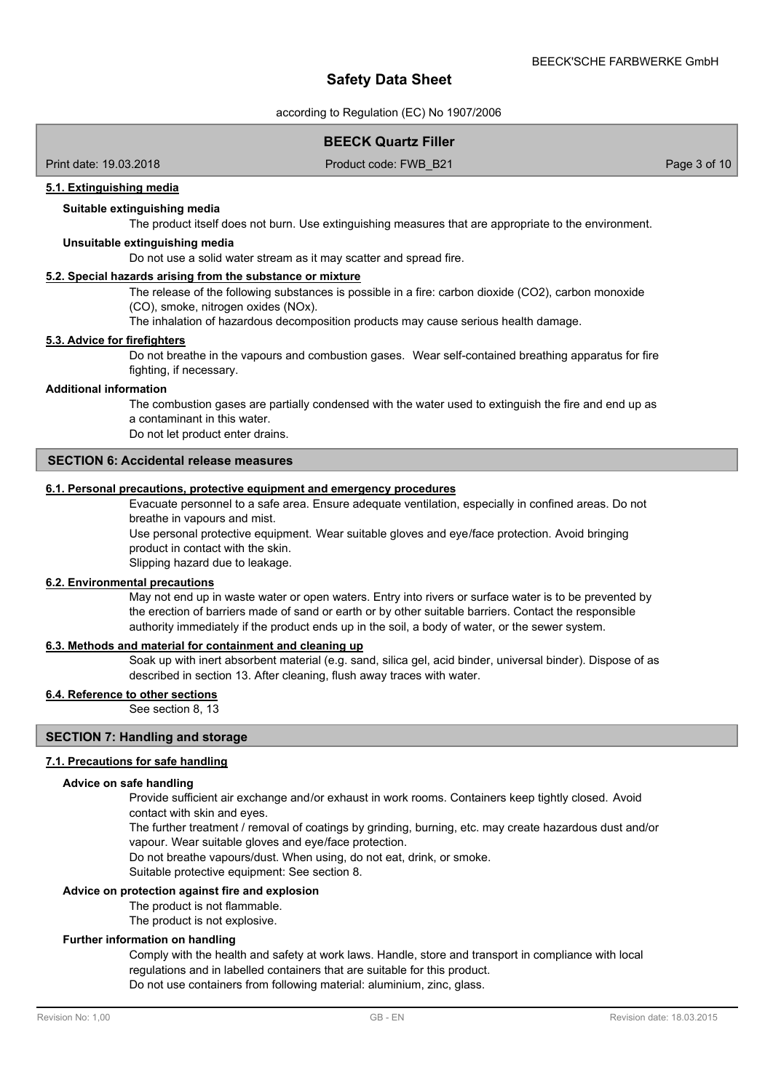according to Regulation (EC) No 1907/2006

# **BEECK Quartz Filler**

Print date: 19.03.2018 Product code: FWB\_B21 Page 3 of 10

#### **5.1. Extinguishing media**

### **Suitable extinguishing media**

The product itself does not burn. Use extinguishing measures that are appropriate to the environment.

### **Unsuitable extinguishing media**

Do not use a solid water stream as it may scatter and spread fire.

### **5.2. Special hazards arising from the substance or mixture**

The release of the following substances is possible in a fire: carbon dioxide (CO2), carbon monoxide (CO), smoke, nitrogen oxides (NOx).

The inhalation of hazardous decomposition products may cause serious health damage.

## **5.3. Advice for firefighters**

Do not breathe in the vapours and combustion gases. Wear self-contained breathing apparatus for fire fighting, if necessary.

#### **Additional information**

The combustion gases are partially condensed with the water used to extinguish the fire and end up as a contaminant in this water.

Do not let product enter drains.

# **SECTION 6: Accidental release measures**

#### **6.1. Personal precautions, protective equipment and emergency procedures**

Evacuate personnel to a safe area. Ensure adequate ventilation, especially in confined areas. Do not breathe in vapours and mist.

Use personal protective equipment. Wear suitable gloves and eye/face protection. Avoid bringing product in contact with the skin.

Slipping hazard due to leakage.

#### **6.2. Environmental precautions**

May not end up in waste water or open waters. Entry into rivers or surface water is to be prevented by the erection of barriers made of sand or earth or by other suitable barriers. Contact the responsible authority immediately if the product ends up in the soil, a body of water, or the sewer system.

#### **6.3. Methods and material for containment and cleaning up**

Soak up with inert absorbent material (e.g. sand, silica gel, acid binder, universal binder). Dispose of as described in section 13. After cleaning, flush away traces with water.

#### **6.4. Reference to other sections**

See section 8, 13

# **SECTION 7: Handling and storage**

#### **7.1. Precautions for safe handling**

#### **Advice on safe handling**

Provide sufficient air exchange and/or exhaust in work rooms. Containers keep tightly closed. Avoid contact with skin and eyes.

The further treatment / removal of coatings by grinding, burning, etc. may create hazardous dust and/or vapour. Wear suitable gloves and eye/face protection.

Do not breathe vapours/dust. When using, do not eat, drink, or smoke.

Suitable protective equipment: See section 8.

#### **Advice on protection against fire and explosion**

The product is not flammable.

The product is not explosive.

#### **Further information on handling**

Comply with the health and safety at work laws. Handle, store and transport in compliance with local regulations and in labelled containers that are suitable for this product. Do not use containers from following material: aluminium, zinc, glass.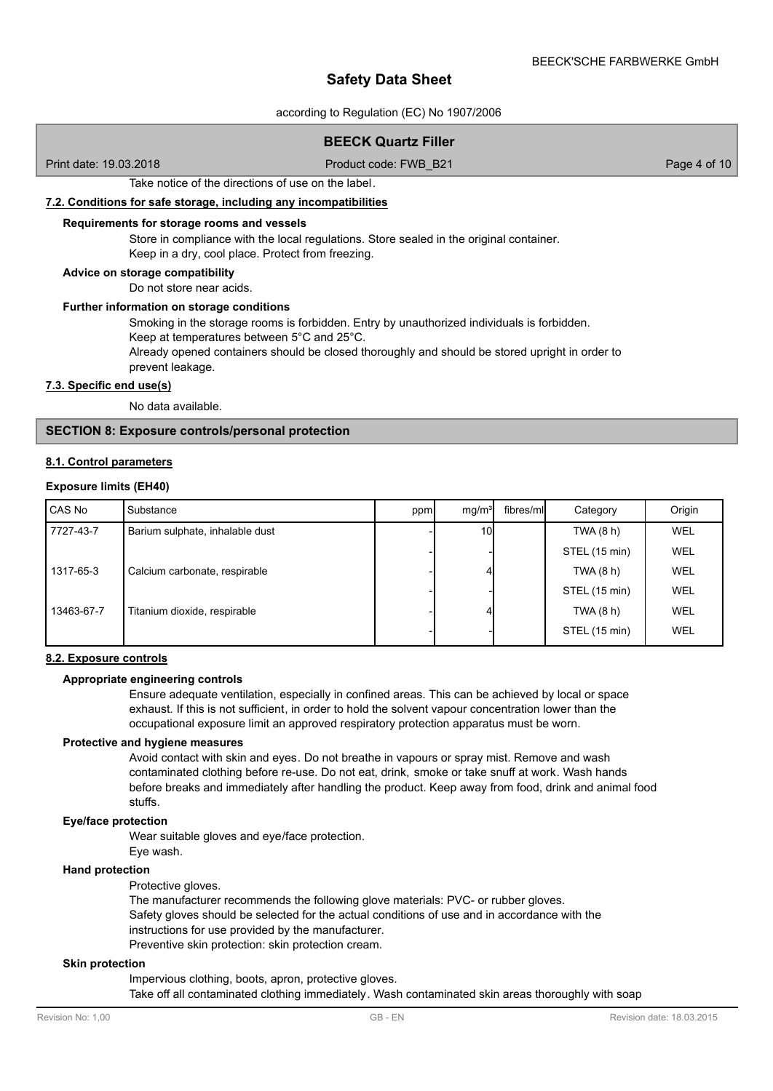according to Regulation (EC) No 1907/2006

# **BEECK Quartz Filler**

Print date: 19.03.2018 Product code: FWB\_B21 Page 4 of 10

Take notice of the directions of use on the label.

#### **7.2. Conditions for safe storage, including any incompatibilities**

#### **Requirements for storage rooms and vessels**

Store in compliance with the local regulations. Store sealed in the original container. Keep in a dry, cool place. Protect from freezing.

#### **Advice on storage compatibility**

Do not store near acids.

## **Further information on storage conditions**

Smoking in the storage rooms is forbidden. Entry by unauthorized individuals is forbidden. Keep at temperatures between 5°C and 25°C.

Already opened containers should be closed thoroughly and should be stored upright in order to prevent leakage.

### **7.3. Specific end use(s)**

No data available.

### **SECTION 8: Exposure controls/personal protection**

#### **8.1. Control parameters**

#### **Exposure limits (EH40)**

| CAS No     | Substance                       | ppm | mq/m <sup>3</sup> | fibres/mll | Category      | Origin |
|------------|---------------------------------|-----|-------------------|------------|---------------|--------|
| 7727-43-7  | Barium sulphate, inhalable dust |     | 10I               |            | TWA $(8 h)$   | WEL    |
|            |                                 |     |                   |            | STEL (15 min) | WEL    |
| 1317-65-3  | Calcium carbonate, respirable   |     |                   |            | TWA (8 h)     | WEL    |
|            |                                 |     |                   |            | STEL (15 min) | WEL    |
| 13463-67-7 | Titanium dioxide, respirable    |     | 4                 |            | TWA (8 h)     | WEL    |
|            |                                 |     |                   |            | STEL (15 min) | WEL    |

#### **8.2. Exposure controls**

#### **Appropriate engineering controls**

Ensure adequate ventilation, especially in confined areas. This can be achieved by local or space exhaust. If this is not sufficient, in order to hold the solvent vapour concentration lower than the occupational exposure limit an approved respiratory protection apparatus must be worn.

#### **Protective and hygiene measures**

Avoid contact with skin and eyes. Do not breathe in vapours or spray mist. Remove and wash contaminated clothing before re-use. Do not eat, drink, smoke or take snuff at work. Wash hands before breaks and immediately after handling the product. Keep away from food, drink and animal food stuffs.

#### **Eye/face protection**

Wear suitable gloves and eye/face protection.

Eye wash.

#### **Hand protection**

Protective gloves.

The manufacturer recommends the following glove materials: PVC- or rubber gloves. Safety gloves should be selected for the actual conditions of use and in accordance with the instructions for use provided by the manufacturer. Preventive skin protection: skin protection cream.

#### **Skin protection**

Impervious clothing, boots, apron, protective gloves. Take off all contaminated clothing immediately. Wash contaminated skin areas thoroughly with soap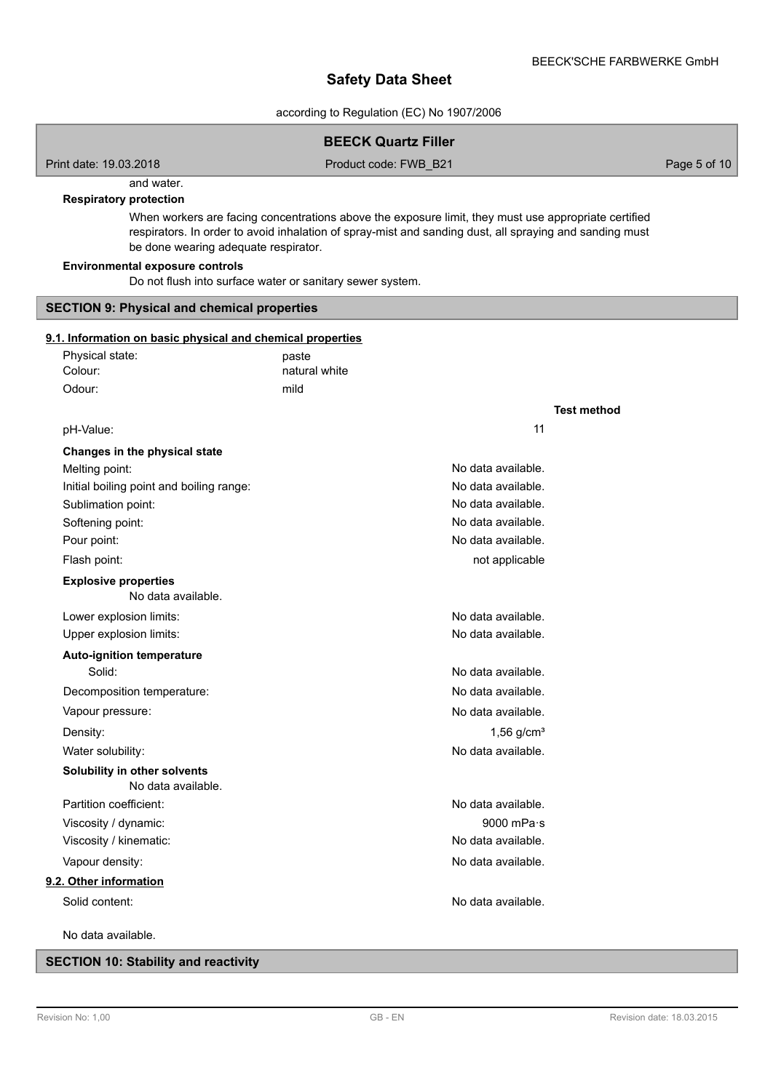according to Regulation (EC) No 1907/2006

|                                                                                                     | <b>BEECK Quartz Filler</b>                                                                                                                                                                                      |                    |              |
|-----------------------------------------------------------------------------------------------------|-----------------------------------------------------------------------------------------------------------------------------------------------------------------------------------------------------------------|--------------------|--------------|
| Print date: 19.03.2018                                                                              | Product code: FWB_B21                                                                                                                                                                                           |                    | Page 5 of 10 |
| and water.                                                                                          |                                                                                                                                                                                                                 |                    |              |
| <b>Respiratory protection</b>                                                                       |                                                                                                                                                                                                                 |                    |              |
| be done wearing adequate respirator.                                                                | When workers are facing concentrations above the exposure limit, they must use appropriate certified<br>respirators. In order to avoid inhalation of spray-mist and sanding dust, all spraying and sanding must |                    |              |
| <b>Environmental exposure controls</b><br>Do not flush into surface water or sanitary sewer system. |                                                                                                                                                                                                                 |                    |              |
| <b>SECTION 9: Physical and chemical properties</b>                                                  |                                                                                                                                                                                                                 |                    |              |
| 9.1. Information on basic physical and chemical properties                                          |                                                                                                                                                                                                                 |                    |              |
| Physical state:                                                                                     | paste                                                                                                                                                                                                           |                    |              |
| Colour:                                                                                             | natural white                                                                                                                                                                                                   |                    |              |
| Odour:                                                                                              | mild                                                                                                                                                                                                            |                    |              |
|                                                                                                     |                                                                                                                                                                                                                 | <b>Test method</b> |              |
| pH-Value:                                                                                           | 11                                                                                                                                                                                                              |                    |              |
| Changes in the physical state                                                                       |                                                                                                                                                                                                                 |                    |              |
| Melting point:                                                                                      | No data available.                                                                                                                                                                                              |                    |              |
| Initial boiling point and boiling range:                                                            | No data available.                                                                                                                                                                                              |                    |              |
| Sublimation point:                                                                                  | No data available.                                                                                                                                                                                              |                    |              |
| Softening point:                                                                                    | No data available.                                                                                                                                                                                              |                    |              |
| Pour point:                                                                                         | No data available.                                                                                                                                                                                              |                    |              |
| Flash point:                                                                                        | not applicable                                                                                                                                                                                                  |                    |              |
| <b>Explosive properties</b><br>No data available.                                                   |                                                                                                                                                                                                                 |                    |              |
| Lower explosion limits:                                                                             | No data available.                                                                                                                                                                                              |                    |              |
| Upper explosion limits:                                                                             | No data available.                                                                                                                                                                                              |                    |              |
| <b>Auto-ignition temperature</b>                                                                    |                                                                                                                                                                                                                 |                    |              |
| Solid:                                                                                              | No data available.                                                                                                                                                                                              |                    |              |
| Decomposition temperature:                                                                          | No data available.                                                                                                                                                                                              |                    |              |
| Vapour pressure:                                                                                    | No data available.                                                                                                                                                                                              |                    |              |
| Density:                                                                                            | $1,56$ g/cm <sup>3</sup>                                                                                                                                                                                        |                    |              |
| Water solubility:                                                                                   | No data available.                                                                                                                                                                                              |                    |              |
| Solubility in other solvents<br>No data available.                                                  |                                                                                                                                                                                                                 |                    |              |
| Partition coefficient:                                                                              | No data available.                                                                                                                                                                                              |                    |              |
| Viscosity / dynamic:                                                                                | 9000 mPa·s                                                                                                                                                                                                      |                    |              |
| Viscosity / kinematic:                                                                              | No data available.                                                                                                                                                                                              |                    |              |
| Vapour density:                                                                                     | No data available.                                                                                                                                                                                              |                    |              |
| 9.2. Other information                                                                              |                                                                                                                                                                                                                 |                    |              |
| Solid content:                                                                                      | No data available.                                                                                                                                                                                              |                    |              |
| No data available.                                                                                  |                                                                                                                                                                                                                 |                    |              |

# **SECTION 10: Stability and reactivity**

I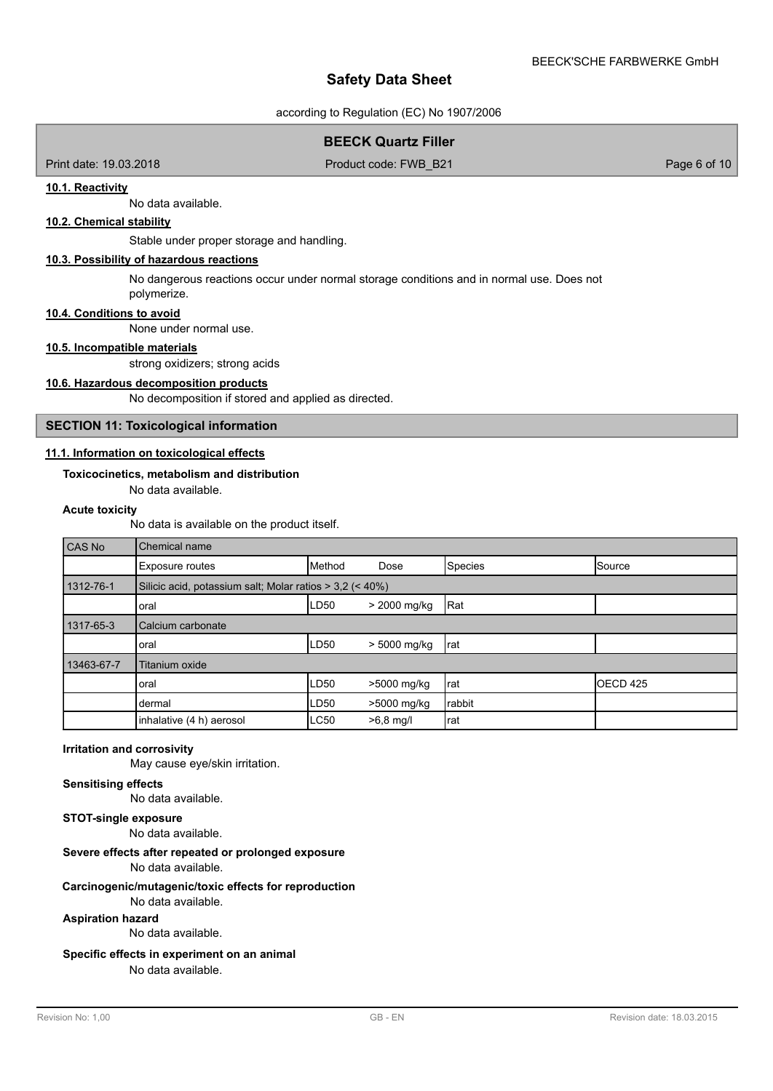according to Regulation (EC) No 1907/2006

# **BEECK Quartz Filler**

Print date: 19.03.2018 **Product code: FWB\_B21** Page 6 of 10

#### **10.1. Reactivity**

No data available.

# **10.2. Chemical stability**

Stable under proper storage and handling.

### **10.3. Possibility of hazardous reactions**

No dangerous reactions occur under normal storage conditions and in normal use. Does not polymerize.

#### **10.4. Conditions to avoid**

None under normal use.

## **10.5. Incompatible materials**

strong oxidizers; strong acids

### **10.6. Hazardous decomposition products**

No decomposition if stored and applied as directed.

# **SECTION 11: Toxicological information**

# **11.1. Information on toxicological effects**

#### **Toxicocinetics, metabolism and distribution**

No data available.

## **Acute toxicity**

No data is available on the product itself.

| CAS No     | Chemical name            |                                                          |              |                |                     |  |
|------------|--------------------------|----------------------------------------------------------|--------------|----------------|---------------------|--|
|            | <b>Exposure routes</b>   | Method                                                   | Dose         | <b>Species</b> | Source              |  |
| 1312-76-1  |                          | Silicic acid, potassium salt; Molar ratios > 3,2 (< 40%) |              |                |                     |  |
|            | oral                     | LD50                                                     | > 2000 mg/kg | Rat            |                     |  |
| 1317-65-3  | Calcium carbonate        |                                                          |              |                |                     |  |
|            | oral                     | LD50                                                     | > 5000 mg/kg | Irat           |                     |  |
| 13463-67-7 | Titanium oxide           |                                                          |              |                |                     |  |
|            | oral                     | LD50                                                     | >5000 mg/kg  | Irat           | OECD <sub>425</sub> |  |
|            | dermal                   | LD50                                                     | >5000 mg/kg  | rabbit         |                     |  |
|            | inhalative (4 h) aerosol | <b>LC50</b>                                              | $>6,8$ mg/l  | rat            |                     |  |

# **Irritation and corrosivity**

May cause eye/skin irritation.

### **Sensitising effects**

No data available.

# **STOT-single exposure**

No data available.

# **Severe effects after repeated or prolonged exposure**

No data available.

#### **Carcinogenic/mutagenic/toxic effects for reproduction**

No data available.

# **Aspiration hazard**

No data available.

# **Specific effects in experiment on an animal**

No data available.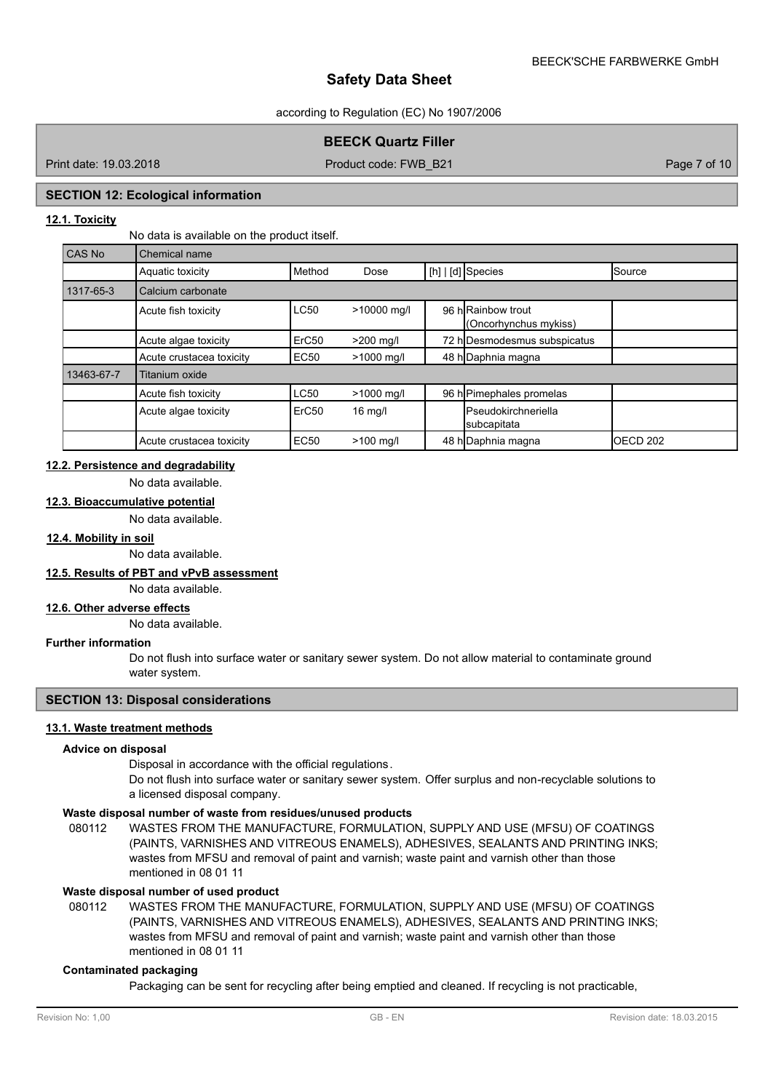#### according to Regulation (EC) No 1907/2006

# **BEECK Quartz Filler**

Print date: 19.03.2018 Product code: FWB\_B21 Page 7 of 10

### **SECTION 12: Ecological information**

# **12.1. Toxicity**

No data is available on the product itself.

| <b>CAS No</b> | Chemical name            |                   |             |                                            |                     |
|---------------|--------------------------|-------------------|-------------|--------------------------------------------|---------------------|
|               | Aquatic toxicity         | Method            | Dose        | [h]   [d] Species                          | Source              |
| 1317-65-3     | Calcium carbonate        |                   |             |                                            |                     |
|               | Acute fish toxicity      | <b>LC50</b>       | >10000 mg/l | 96 hRainbow trout<br>(Oncorhynchus mykiss) |                     |
|               | Acute algae toxicity     | ErC <sub>50</sub> | >200 mg/l   | 72 h Desmodesmus subspicatus               |                     |
|               | Acute crustacea toxicity | EC <sub>50</sub>  | >1000 mg/l  | 48 h Daphnia magna                         |                     |
| 13463-67-7    | Titanium oxide           |                   |             |                                            |                     |
|               | Acute fish toxicity      | <b>LC50</b>       | >1000 mg/l  | 96 h Pimephales promelas                   |                     |
|               | Acute algae toxicity     | ErC <sub>50</sub> | $16$ mg/l   | <b>Pseudokirchneriella</b><br>subcapitata  |                     |
|               | Acute crustacea toxicity | <b>EC50</b>       | $>100$ mg/l | 48 h Daphnia magna                         | OECD <sub>202</sub> |

# **12.2. Persistence and degradability**

No data available.

# **12.3. Bioaccumulative potential**

No data available.

# **12.4. Mobility in soil**

No data available.

## **12.5. Results of PBT and vPvB assessment**

No data available.

# **12.6. Other adverse effects**

No data available.

#### **Further information**

Do not flush into surface water or sanitary sewer system. Do not allow material to contaminate ground water system.

#### **SECTION 13: Disposal considerations**

# **13.1. Waste treatment methods**

#### **Advice on disposal**

Disposal in accordance with the official regulations.

Do not flush into surface water or sanitary sewer system. Offer surplus and non-recyclable solutions to a licensed disposal company.

#### **Waste disposal number of waste from residues/unused products**

080112 WASTES FROM THE MANUFACTURE, FORMULATION, SUPPLY AND USE (MFSU) OF COATINGS (PAINTS, VARNISHES AND VITREOUS ENAMELS), ADHESIVES, SEALANTS AND PRINTING INKS; wastes from MFSU and removal of paint and varnish; waste paint and varnish other than those mentioned in 08 01 11

#### **Waste disposal number of used product**

WASTES FROM THE MANUFACTURE, FORMULATION, SUPPLY AND USE (MFSU) OF COATINGS (PAINTS, VARNISHES AND VITREOUS ENAMELS), ADHESIVES, SEALANTS AND PRINTING INKS; wastes from MFSU and removal of paint and varnish; waste paint and varnish other than those mentioned in 08 01 11 080112

# **Contaminated packaging**

Packaging can be sent for recycling after being emptied and cleaned. If recycling is not practicable,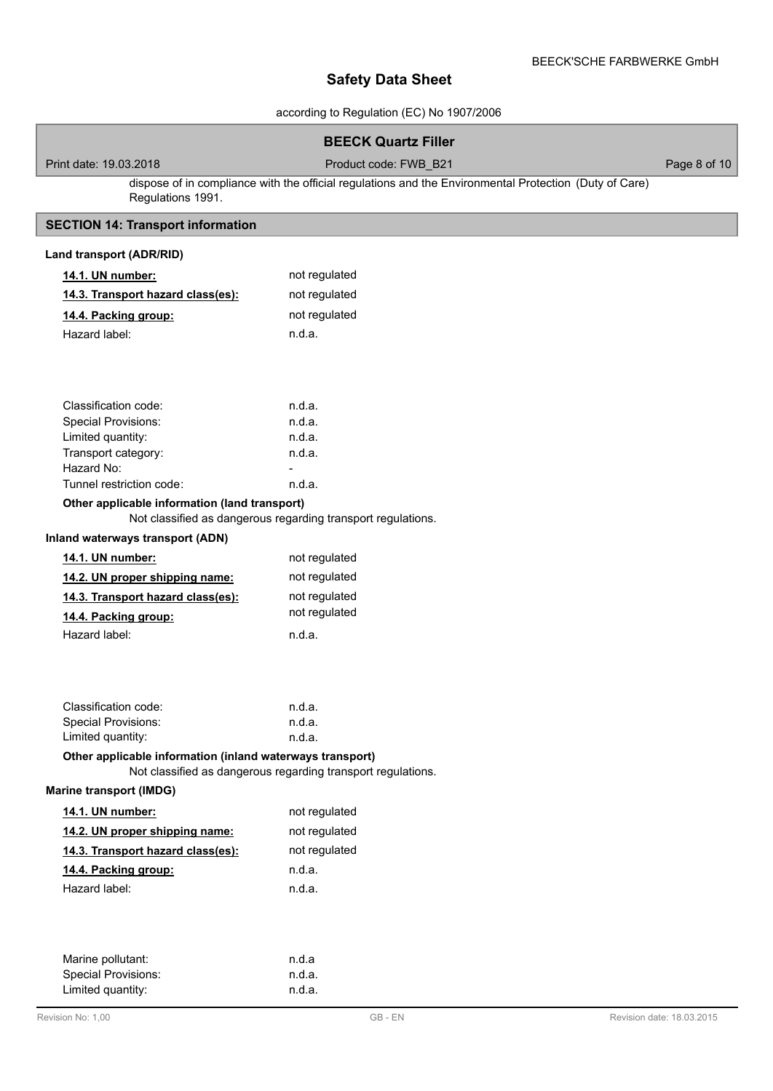according to Regulation (EC) No 1907/2006

# **BEECK Quartz Filler**

Print date: 19.03.2018 **Product code: FWB\_B21** Product code: FWB\_B21 Page 8 of 10

dispose of in compliance with the official regulations and the Environmental Protection (Duty of Care) Regulations 1991.

# **SECTION 14: Transport information**

| Land transport (ADR/RID)                                     |                                                              |  |  |  |  |
|--------------------------------------------------------------|--------------------------------------------------------------|--|--|--|--|
| 14.1. UN number:                                             | not regulated                                                |  |  |  |  |
| 14.3. Transport hazard class(es):                            | not regulated                                                |  |  |  |  |
| 14.4. Packing group:                                         | not regulated                                                |  |  |  |  |
| Hazard label:                                                | n.d.a.                                                       |  |  |  |  |
|                                                              |                                                              |  |  |  |  |
|                                                              |                                                              |  |  |  |  |
|                                                              |                                                              |  |  |  |  |
| Classification code:                                         | n.d.a.                                                       |  |  |  |  |
| Special Provisions:                                          | n.d.a.                                                       |  |  |  |  |
| Limited quantity:                                            | n.d.a.                                                       |  |  |  |  |
| Transport category:                                          | n.d.a.                                                       |  |  |  |  |
| Hazard No:                                                   |                                                              |  |  |  |  |
| Tunnel restriction code:                                     | n.d.a.                                                       |  |  |  |  |
| Other applicable information (land transport)                |                                                              |  |  |  |  |
|                                                              | Not classified as dangerous regarding transport regulations. |  |  |  |  |
| Inland waterways transport (ADN)                             |                                                              |  |  |  |  |
| 14.1. UN number:                                             | not regulated                                                |  |  |  |  |
| 14.2. UN proper shipping name:                               | not regulated                                                |  |  |  |  |
| 14.3. Transport hazard class(es):                            | not regulated                                                |  |  |  |  |
| 14.4. Packing group:                                         | not regulated                                                |  |  |  |  |
| Hazard label:                                                | n.d.a.                                                       |  |  |  |  |
|                                                              |                                                              |  |  |  |  |
|                                                              |                                                              |  |  |  |  |
|                                                              |                                                              |  |  |  |  |
| Classification code:                                         | n.d.a.                                                       |  |  |  |  |
| <b>Special Provisions:</b>                                   | n.d.a.                                                       |  |  |  |  |
| Limited quantity:                                            | n.d.a.                                                       |  |  |  |  |
| Other applicable information (inland waterways transport)    |                                                              |  |  |  |  |
| Not classified as dangerous regarding transport regulations. |                                                              |  |  |  |  |
| <b>Marine transport (IMDG)</b>                               |                                                              |  |  |  |  |
| 14.1. UN number:                                             | not regulated                                                |  |  |  |  |
| 14.2. UN proper shipping name:                               | not regulated                                                |  |  |  |  |
| 14.3. Transport hazard class(es):                            | not regulated                                                |  |  |  |  |
| 14.4. Packing group:                                         | n.d.a.                                                       |  |  |  |  |
| Hazard label:                                                | n.d.a.                                                       |  |  |  |  |
|                                                              |                                                              |  |  |  |  |
|                                                              |                                                              |  |  |  |  |
|                                                              |                                                              |  |  |  |  |
| Marine pollutant:                                            | n.d.a                                                        |  |  |  |  |
| <b>Special Provisions:</b>                                   | n.d.a.                                                       |  |  |  |  |
| Limited quantity:                                            | n.d.a.                                                       |  |  |  |  |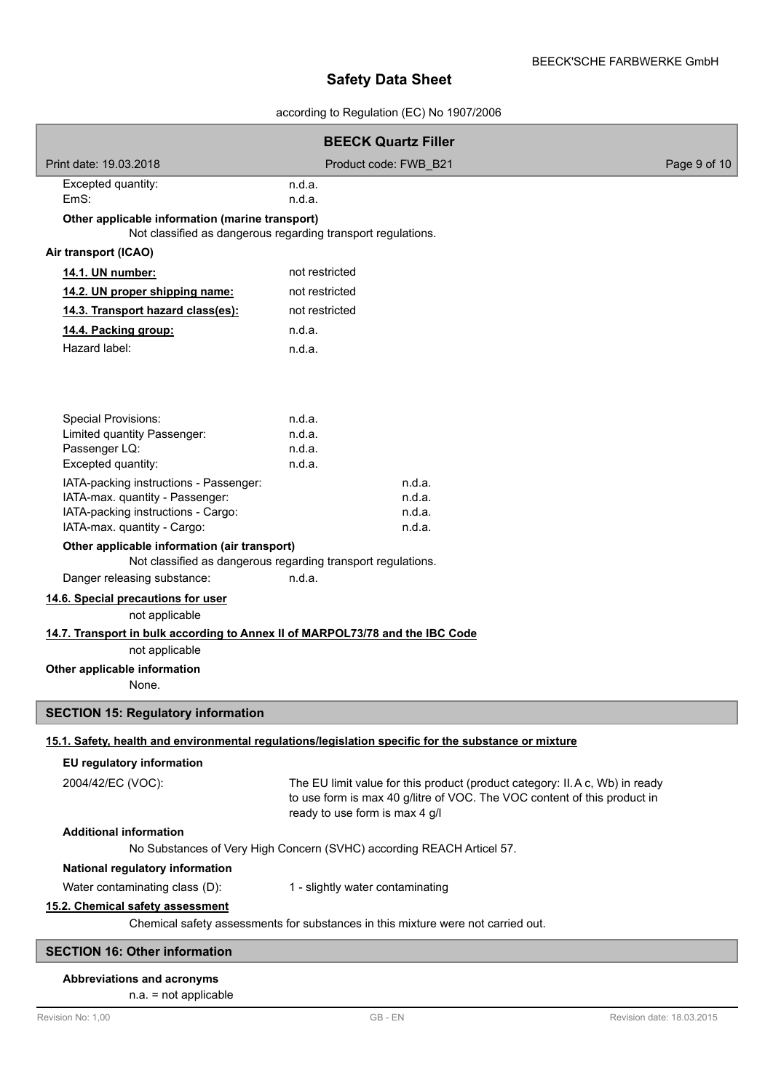according to Regulation (EC) No 1907/2006

|                                                                                  | <b>BEECK Quartz Filler</b>                                                                                                                                                                 |              |  |  |  |  |  |
|----------------------------------------------------------------------------------|--------------------------------------------------------------------------------------------------------------------------------------------------------------------------------------------|--------------|--|--|--|--|--|
| Print date: 19.03.2018                                                           | Product code: FWB B21                                                                                                                                                                      | Page 9 of 10 |  |  |  |  |  |
| Excepted quantity:                                                               | n.d.a.                                                                                                                                                                                     |              |  |  |  |  |  |
| EmS:                                                                             | n.d.a.                                                                                                                                                                                     |              |  |  |  |  |  |
|                                                                                  | Other applicable information (marine transport)<br>Not classified as dangerous regarding transport regulations.                                                                            |              |  |  |  |  |  |
| Air transport (ICAO)                                                             |                                                                                                                                                                                            |              |  |  |  |  |  |
| 14.1. UN number:                                                                 | not restricted                                                                                                                                                                             |              |  |  |  |  |  |
| 14.2. UN proper shipping name:                                                   | not restricted                                                                                                                                                                             |              |  |  |  |  |  |
| 14.3. Transport hazard class(es):                                                | not restricted                                                                                                                                                                             |              |  |  |  |  |  |
| 14.4. Packing group:                                                             | n.d.a.                                                                                                                                                                                     |              |  |  |  |  |  |
| Hazard label:                                                                    | n.d.a.                                                                                                                                                                                     |              |  |  |  |  |  |
| <b>Special Provisions:</b><br>Limited quantity Passenger:                        | n.d.a.<br>n.d.a.                                                                                                                                                                           |              |  |  |  |  |  |
| Passenger LQ:                                                                    | n.d.a.                                                                                                                                                                                     |              |  |  |  |  |  |
| Excepted quantity:                                                               | n.d.a.                                                                                                                                                                                     |              |  |  |  |  |  |
| IATA-packing instructions - Passenger:<br>IATA-max. quantity - Passenger:        | n.d.a.<br>n.d.a.                                                                                                                                                                           |              |  |  |  |  |  |
| IATA-packing instructions - Cargo:                                               | n.d.a.                                                                                                                                                                                     |              |  |  |  |  |  |
| IATA-max. quantity - Cargo:                                                      | n.d.a.                                                                                                                                                                                     |              |  |  |  |  |  |
| Other applicable information (air transport)                                     | Not classified as dangerous regarding transport regulations.                                                                                                                               |              |  |  |  |  |  |
| Danger releasing substance:                                                      | n.d.a.                                                                                                                                                                                     |              |  |  |  |  |  |
| 14.6. Special precautions for user<br>not applicable                             |                                                                                                                                                                                            |              |  |  |  |  |  |
| 14.7. Transport in bulk according to Annex II of MARPOL73/78 and the IBC Code    |                                                                                                                                                                                            |              |  |  |  |  |  |
| not applicable                                                                   |                                                                                                                                                                                            |              |  |  |  |  |  |
| Other applicable information                                                     |                                                                                                                                                                                            |              |  |  |  |  |  |
| None.                                                                            |                                                                                                                                                                                            |              |  |  |  |  |  |
| <b>SECTION 15: Regulatory information</b>                                        |                                                                                                                                                                                            |              |  |  |  |  |  |
|                                                                                  | 15.1. Safety, health and environmental regulations/legislation specific for the substance or mixture                                                                                       |              |  |  |  |  |  |
| EU regulatory information                                                        |                                                                                                                                                                                            |              |  |  |  |  |  |
| 2004/42/EC (VOC):                                                                | The EU limit value for this product (product category: II. A c, Wb) in ready<br>to use form is max 40 g/litre of VOC. The VOC content of this product in<br>ready to use form is max 4 g/l |              |  |  |  |  |  |
| <b>Additional information</b>                                                    | No Substances of Very High Concern (SVHC) according REACH Articel 57.                                                                                                                      |              |  |  |  |  |  |
| National regulatory information                                                  |                                                                                                                                                                                            |              |  |  |  |  |  |
| Water contaminating class (D):                                                   | 1 - slightly water contaminating                                                                                                                                                           |              |  |  |  |  |  |
| 15.2. Chemical safety assessment                                                 |                                                                                                                                                                                            |              |  |  |  |  |  |
| Chemical safety assessments for substances in this mixture were not carried out. |                                                                                                                                                                                            |              |  |  |  |  |  |
| <b>SECTION 16: Other information</b>                                             |                                                                                                                                                                                            |              |  |  |  |  |  |

# **Abbreviations and acronyms**

# n.a. = not applicable